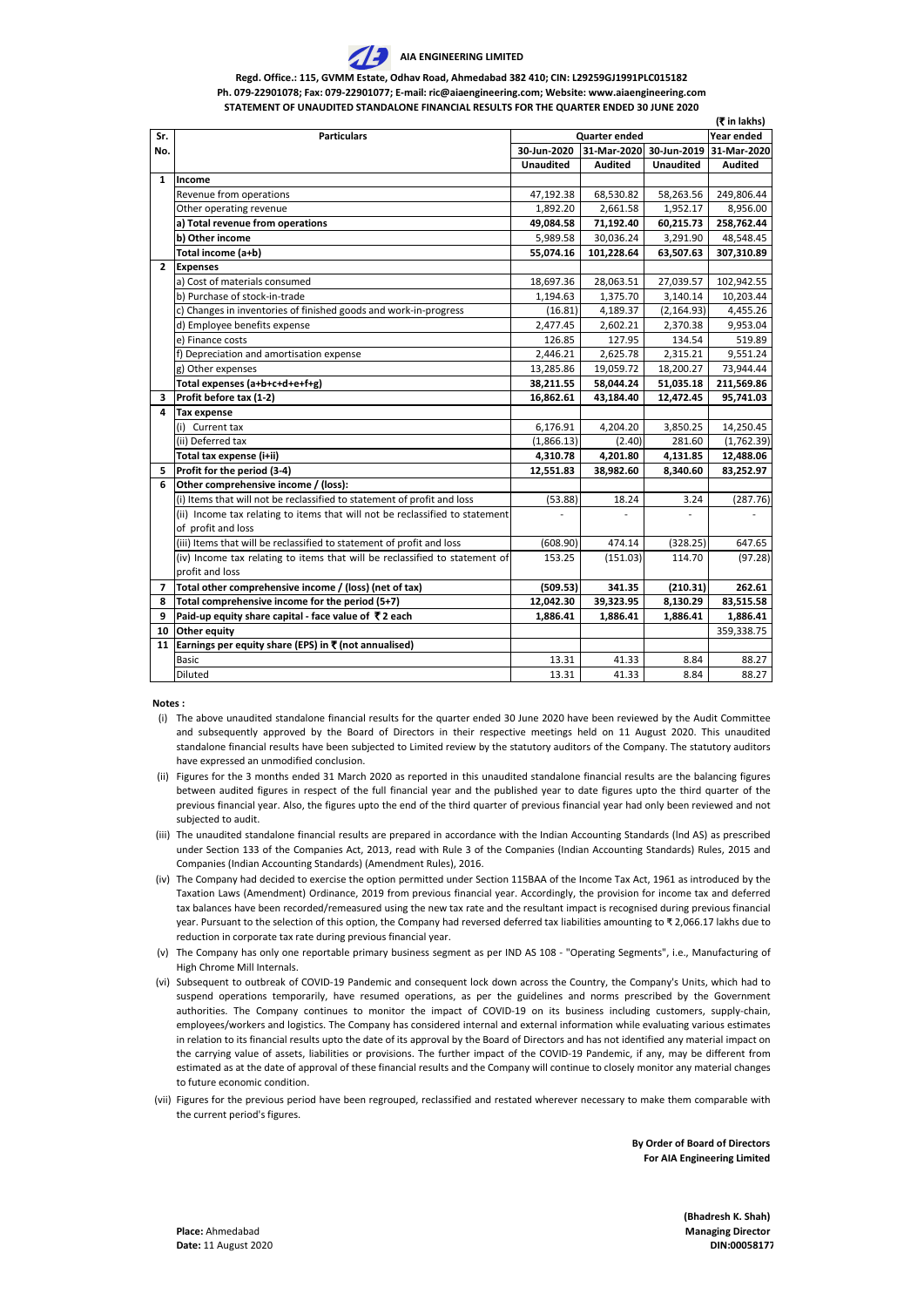**(Bhadresh K. Shah) Place:** Ahmedabad **Managing Director Managing Director** 

**Date:** 11 August 2020 **DIN:00058177** 

**Notes :**

**By Order of Board of Directors For AIA Engineering Limited**

- (i) The above unaudited standalone financial results for the quarter ended 30 June 2020 have been reviewed by the Audit Committee and subsequently approved by the Board of Directors in their respective meetings held on 11 August 2020. This unaudited standalone financial results have been subjected to Limited review by the statutory auditors of the Company. The statutory auditors have expressed an unmodified conclusion.
- (ii) Figures for the 3 months ended 31 March 2020 as reported in this unaudited standalone financial results are the balancing figures between audited figures in respect of the full financial year and the published year to date figures upto the third quarter of the previous financial year. Also, the figures upto the end of the third quarter of previous financial year had only been reviewed and not subjected to audit.
- (iii) The unaudited standalone financial results are prepared in accordance with the Indian Accounting Standards (lnd AS) as prescribed under Section 133 of the Companies Act, 2013, read with Rule 3 of the Companies (Indian Accounting Standards) Rules, 2015 and Companies (Indian Accounting Standards) (Amendment Rules), 2016.
- (iv) The Company had decided to exercise the option permitted under Section 115BAA of the Income Tax Act, 1961 as introduced by the Taxation Laws (Amendment) Ordinance, 2019 from previous financial year. Accordingly, the provision for income tax and deferred tax balances have been recorded/remeasured using the new tax rate and the resultant impact is recognised during previous financial year. Pursuant to the selection of this option, the Company had reversed deferred tax liabilities amounting to ₹ 2,066.17 lakhs due to reduction in corporate tax rate during previous financial year.
- (v) The Company has only one reportable primary business segment as per IND AS 108 "Operating Segments", i.e., Manufacturing of High Chrome Mill Internals.
- (vi) Subsequent to outbreak of COVID-19 Pandemic and consequent lock down across the Country, the Company's Units, which had to suspend operations temporarily, have resumed operations, as per the guidelines and norms prescribed by the Government authorities. The Company continues to monitor the impact of COVID-19 on its business including customers, supply-chain, employees/workers and logistics. The Company has considered internal and external information while evaluating various estimates in relation to its financial results upto the date of its approval by the Board of Directors and has not identified any material impact on the carrying value of assets, liabilities or provisions. The further impact of the COVID-19 Pandemic, if any, may be different from estimated as at the date of approval of these financial results and the Company will continue to closely monitor any material changes to future economic condition.
- (vii) Figures for the previous period have been regrouped, reclassified and restated wherever necessary to make them comparable with the current period's figures.

|              | (₹ in lakhs)                                                                 |                      |                |                  |                |  |
|--------------|------------------------------------------------------------------------------|----------------------|----------------|------------------|----------------|--|
| Sr.          | <b>Particulars</b>                                                           | <b>Quarter ended</b> | Year ended     |                  |                |  |
| No.          |                                                                              | 30-Jun-2020          | 31-Mar-2020    | 30-Jun-2019      | 31-Mar-2020    |  |
|              |                                                                              | <b>Unaudited</b>     | <b>Audited</b> | <b>Unaudited</b> | <b>Audited</b> |  |
| $\mathbf{1}$ | Income                                                                       |                      |                |                  |                |  |
|              | Revenue from operations                                                      | 47,192.38            | 68,530.82      | 58,263.56        | 249,806.44     |  |
|              | Other operating revenue                                                      | 1,892.20             | 2,661.58       | 1,952.17         | 8,956.00       |  |
|              | a) Total revenue from operations                                             | 49,084.58            | 71,192.40      | 60,215.73        | 258,762.44     |  |
|              | b) Other income                                                              | 5,989.58             | 30,036.24      | 3,291.90         | 48,548.45      |  |
|              | Total income (a+b)                                                           | 55,074.16            | 101,228.64     | 63,507.63        | 307,310.89     |  |
| $2^{\circ}$  | <b>Expenses</b>                                                              |                      |                |                  |                |  |
|              | a) Cost of materials consumed                                                | 18,697.36            | 28,063.51      | 27,039.57        | 102,942.55     |  |
|              | b) Purchase of stock-in-trade                                                | 1,194.63             | 1,375.70       | 3,140.14         | 10,203.44      |  |
|              | c) Changes in inventories of finished goods and work-in-progress             | (16.81)              | 4,189.37       | (2, 164.93)      | 4,455.26       |  |
|              | d) Employee benefits expense                                                 | 2,477.45             | 2,602.21       | 2,370.38         | 9,953.04       |  |
|              | e) Finance costs                                                             | 126.85               | 127.95         | 134.54           | 519.89         |  |
|              | f) Depreciation and amortisation expense                                     | 2,446.21             | 2,625.78       | 2,315.21         | 9,551.24       |  |
|              | g) Other expenses                                                            | 13,285.86            | 19,059.72      | 18,200.27        | 73,944.44      |  |
|              | Total expenses (a+b+c+d+e+f+g)                                               | 38,211.55            | 58,044.24      | 51,035.18        | 211,569.86     |  |
| 3            | Profit before tax (1-2)                                                      | 16,862.61            | 43,184.40      | 12,472.45        | 95,741.03      |  |
| 4            | <b>Tax expense</b>                                                           |                      |                |                  |                |  |
|              | Current tax                                                                  | 6,176.91             | 4,204.20       | 3,850.25         | 14,250.45      |  |
|              | (ii) Deferred tax                                                            | (1,866.13)           | (2.40)         | 281.60           | (1,762.39)     |  |
|              | Total tax expense (i+ii)                                                     | 4,310.78             | 4,201.80       | 4,131.85         | 12,488.06      |  |
| 5.           | Profit for the period (3-4)                                                  | 12,551.83            | 38,982.60      | 8,340.60         | 83,252.97      |  |
| 6            | Other comprehensive income / (loss):                                         |                      |                |                  |                |  |
|              | (i) Items that will not be reclassified to statement of profit and loss      | (53.88)              | 18.24          | 3.24             | (287.76)       |  |
|              | (ii) Income tax relating to items that will not be reclassified to statement |                      |                |                  |                |  |
|              | of profit and loss                                                           |                      |                |                  |                |  |
|              | (iii) Items that will be reclassified to statement of profit and loss        | (608.90)             | 474.14         | (328.25)         | 647.65         |  |
|              | (iv) Income tax relating to items that will be reclassified to statement of  | 153.25               | (151.03)       | 114.70           | (97.28)        |  |
|              | profit and loss                                                              |                      |                |                  |                |  |
| 7            | Total other comprehensive income / (loss) (net of tax)                       | (509.53)             | 341.35         | (210.31)         | 262.61         |  |
| 8            | Total comprehensive income for the period (5+7)                              | 12,042.30            | 39,323.95      | 8,130.29         | 83,515.58      |  |
| 9            | Paid-up equity share capital - face value of $\bar{\tau}$ 2 each             | 1,886.41             | 1,886.41       | 1,886.41         | 1,886.41       |  |
| 10           | <b>Other equity</b>                                                          |                      |                |                  | 359,338.75     |  |
| 11           | Earnings per equity share (EPS) in $\bar{\tau}$ (not annualised)             |                      |                |                  |                |  |
|              | <b>Basic</b>                                                                 | 13.31                | 41.33          | 8.84             | 88.27          |  |
|              | Diluted                                                                      | 13.31                | 41.33          | 8.84             | 88.27          |  |



**Regd. Office.: 115, GVMM Estate, Odhav Road, Ahmedabad 382 410; CIN: L29259GJ1991PLC015182 Ph. 079-22901078; Fax: 079-22901077; E-mail: ric@aiaengineering.com; Website: www.aiaengineering.com STATEMENT OF UNAUDITED STANDALONE FINANCIAL RESULTS FOR THE QUARTER ENDED 30 JUNE 2020**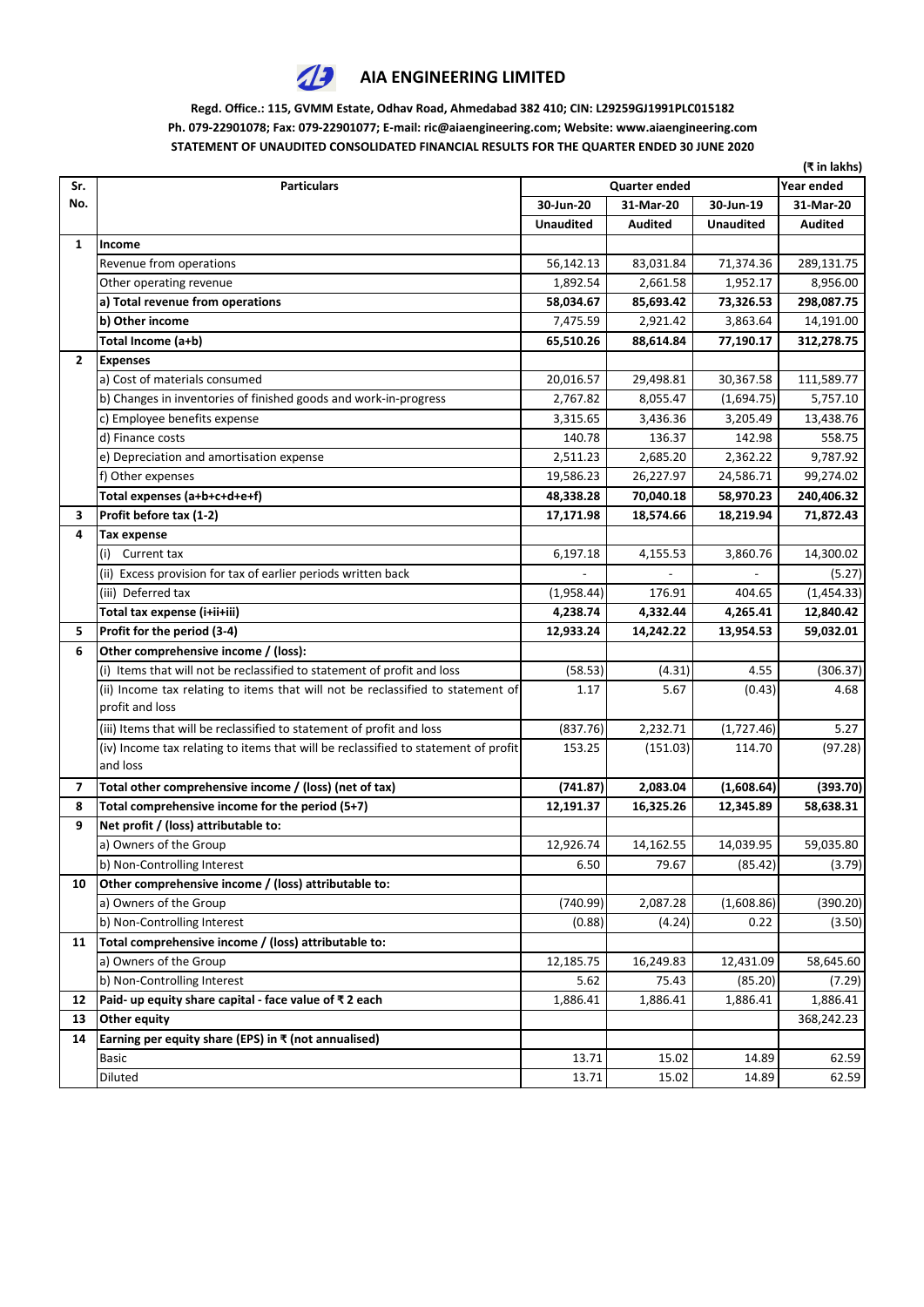

## **AIA ENGINEERING LIMITED**

## **Regd. Office.: 115, GVMM Estate, Odhav Road, Ahmedabad 382 410; CIN: L29259GJ1991PLC015182 Ph. 079-22901078; Fax: 079-22901077; E-mail: ric@aiaengineering.com; Website: www.aiaengineering.com STATEMENT OF UNAUDITED CONSOLIDATED FINANCIAL RESULTS FOR THE QUARTER ENDED 30 JUNE 2020**

|                         |                                                                                    |                  |                |                  | (₹ in lakhs)   |
|-------------------------|------------------------------------------------------------------------------------|------------------|----------------|------------------|----------------|
| Sr.                     | <b>Particulars</b>                                                                 |                  | Year ended     |                  |                |
| No.                     |                                                                                    | 30-Jun-20        | 31-Mar-20      | 30-Jun-19        | 31-Mar-20      |
|                         |                                                                                    | <b>Unaudited</b> | <b>Audited</b> | <b>Unaudited</b> | <b>Audited</b> |
| $\mathbf{1}$            | <b>Income</b>                                                                      |                  |                |                  |                |
|                         | Revenue from operations                                                            | 56,142.13        | 83,031.84      | 71,374.36        | 289,131.75     |
|                         | Other operating revenue                                                            | 1,892.54         | 2,661.58       | 1,952.17         | 8,956.00       |
|                         | a) Total revenue from operations                                                   | 58,034.67        | 85,693.42      | 73,326.53        | 298,087.75     |
|                         | b) Other income                                                                    | 7,475.59         | 2,921.42       | 3,863.64         | 14,191.00      |
|                         | Total Income (a+b)                                                                 | 65,510.26        | 88,614.84      | 77,190.17        | 312,278.75     |
| $\mathbf{2}$            | <b>Expenses</b>                                                                    |                  |                |                  |                |
|                         | a) Cost of materials consumed                                                      | 20,016.57        | 29,498.81      | 30,367.58        | 111,589.77     |
|                         | b) Changes in inventories of finished goods and work-in-progress                   | 2,767.82         | 8,055.47       | (1,694.75)       | 5,757.10       |
|                         | c) Employee benefits expense                                                       | 3,315.65         | 3,436.36       | 3,205.49         | 13,438.76      |
|                         | d) Finance costs                                                                   | 140.78           | 136.37         | 142.98           | 558.75         |
|                         | e) Depreciation and amortisation expense                                           | 2,511.23         | 2,685.20       | 2,362.22         | 9,787.92       |
|                         | f) Other expenses                                                                  | 19,586.23        | 26,227.97      | 24,586.71        | 99,274.02      |
|                         | Total expenses (a+b+c+d+e+f)                                                       | 48,338.28        | 70,040.18      | 58,970.23        | 240,406.32     |
| 3                       | Profit before tax (1-2)                                                            | 17,171.98        | 18,574.66      | 18,219.94        | 71,872.43      |
| 4                       | <b>Tax expense</b>                                                                 |                  |                |                  |                |
|                         | Current tax<br>(i)                                                                 | 6,197.18         | 4,155.53       | 3,860.76         | 14,300.02      |
|                         | (ii) Excess provision for tax of earlier periods written back                      |                  |                |                  | (5.27)         |
|                         | (iii) Deferred tax                                                                 | (1,958.44)       | 176.91         | 404.65           | (1,454.33)     |
|                         | Total tax expense (i+ii+iii)                                                       | 4,238.74         | 4,332.44       | 4,265.41         | 12,840.42      |
| 5.                      | Profit for the period (3-4)                                                        | 12,933.24        | 14,242.22      | 13,954.53        | 59,032.01      |
| 6                       | Other comprehensive income / (loss):                                               |                  |                |                  |                |
|                         | (i) Items that will not be reclassified to statement of profit and loss            | (58.53)          | (4.31)         | 4.55             | (306.37)       |
|                         | (ii) Income tax relating to items that will not be reclassified to statement of    | 1.17             | 5.67           | (0.43)           | 4.68           |
|                         | profit and loss                                                                    |                  |                |                  |                |
|                         | (iii) Items that will be reclassified to statement of profit and loss              | (837.76)         | 2,232.71       | (1,727.46)       | 5.27           |
|                         | (iv) Income tax relating to items that will be reclassified to statement of profit | 153.25           | (151.03)       | 114.70           | (97.28)        |
|                         | and loss                                                                           |                  |                |                  |                |
| $\overline{\mathbf{z}}$ | Total other comprehensive income / (loss) (net of tax)                             | (741.87)         | 2,083.04       | (1,608.64)       | (393.70)       |
| 8                       | Total comprehensive income for the period (5+7)                                    | 12,191.37        | 16,325.26      | 12,345.89        | 58,638.31      |
| 9                       | Net profit / (loss) attributable to:                                               |                  |                |                  |                |
|                         | a) Owners of the Group                                                             | 12,926.74        | 14,162.55      | 14,039.95        | 59,035.80      |
|                         | b) Non-Controlling Interest                                                        | 6.50             | 79.67          | (85.42)          | (3.79)         |
| 10                      | Other comprehensive income / (loss) attributable to:                               |                  |                |                  |                |
|                         | a) Owners of the Group                                                             | (740.99)         | 2,087.28       | (1,608.86)       | (390.20)       |
|                         | b) Non-Controlling Interest                                                        | (0.88)           | (4.24)         | 0.22             | (3.50)         |
| 11                      | Total comprehensive income / (loss) attributable to:                               |                  |                |                  |                |
|                         | a) Owners of the Group                                                             | 12,185.75        | 16,249.83      | 12,431.09        | 58,645.60      |
|                         | b) Non-Controlling Interest                                                        | 5.62             | 75.43          | (85.20)          | (7.29)         |
| 12                      | Paid- up equity share capital - face value of ₹2 each                              | 1,886.41         | 1,886.41       | 1,886.41         | 1,886.41       |
| 13                      | <b>Other equity</b>                                                                |                  |                |                  | 368,242.23     |
| 14                      | Earning per equity share (EPS) in $\bar{x}$ (not annualised)                       |                  |                |                  |                |
|                         | <b>Basic</b>                                                                       | 13.71            | 15.02          | 14.89            | 62.59          |
|                         | Diluted                                                                            | 13.71            | 15.02          | 14.89            | 62.59          |